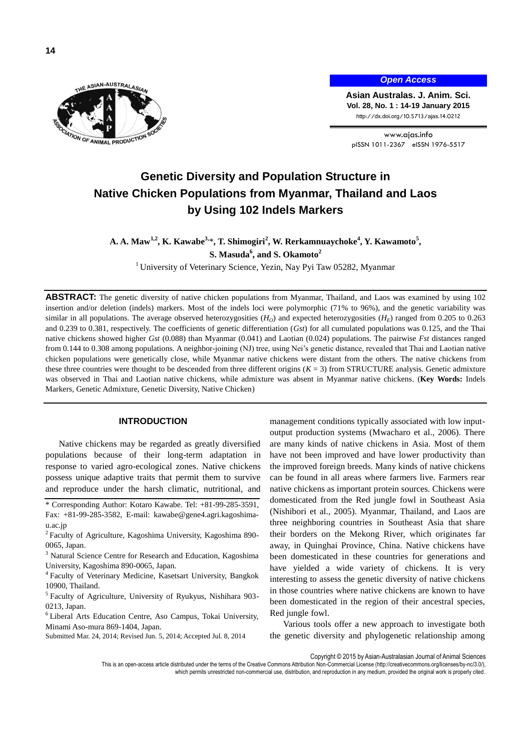

# *Open Access*

**Asian Australas. J. Anim. Sci. Vol. 28, No. 1 : 14-19 January 2015** http://dx.doi.org/10.5713/ajas.14.0212

www.ajas.info pISSN 1011-2367 eISSN 1976-5517

# **Genetic Diversity and Population Structure in Native Chicken Populations from Myanmar, Thailand and Laos by Using 102 Indels Markers**

**A. A. Maw1,2 , K. Kawabe3,** \***, T. Shimogiri<sup>2</sup> , W. Rerkamnuaychoke<sup>4</sup> , Y. Kawamoto<sup>5</sup> , S. Masuda<sup>6</sup> , and S. Okamoto<sup>2</sup>**

<sup>1</sup> University of Veterinary Science, Yezin, Nay Pyi Taw 05282, Myanmar

**ABSTRACT:** The genetic diversity of native chicken populations from Myanmar, Thailand, and Laos was examined by using 102 insertion and/or deletion (indels) markers. Most of the indels loci were polymorphic (71% to 96%), and the genetic variability was similar in all populations. The average observed heterozygosities  $(H<sub>O</sub>)$  and expected heterozygosities  $(H<sub>E</sub>)$  ranged from 0.205 to 0.263 and 0.239 to 0.381, respectively. The coefficients of genetic differentiation (*Gst*) for all cumulated populations was 0.125, and the Thai native chickens showed higher *Gst* (0.088) than Myanmar (0.041) and Laotian (0.024) populations. The pairwise *Fst* distances ranged from 0.144 to 0.308 among populations. A neighbor-joining (NJ) tree, using Nei's genetic distance, revealed that Thai and Laotian native chicken populations were genetically close, while Myanmar native chickens were distant from the others. The native chickens from these three countries were thought to be descended from three different origins  $(K = 3)$  from STRUCTURE analysis. Genetic admixture was observed in Thai and Laotian native chickens, while admixture was absent in Myanmar native chickens. (**Key Words:** Indels Markers, Genetic Admixture, Genetic Diversity, Native Chicken)

# **INTRODUCTION**

Native chickens may be regarded as greatly diversified populations because of their long-term adaptation in response to varied agro-ecological zones. Native chickens possess unique adaptive traits that permit them to survive and reproduce under the harsh climatic, nutritional, and

\* Corresponding Author: Kotaro Kawabe. Tel: +81-99-285-3591, Fax: +81-99-285-3582, E-mail: kawabe@gene4.agri.kagoshimau.ac.jp

- <sup>2</sup> Faculty of Agriculture, Kagoshima University, Kagoshima 890-0065, Japan.
- <sup>3</sup> Natural Science Centre for Research and Education, Kagoshima University, Kagoshima 890-0065, Japan.

4 Faculty of Veterinary Medicine, Kasetsart University, Bangkok 10900, Thailand.

5 Faculty of Agriculture, University of Ryukyus, Nishihara 903- 0213, Japan.

<sup>6</sup> Liberal Arts Education Centre, Aso Campus, Tokai University, Minami Aso-mura 869-1404, Japan.

Submitted Mar. 24, 2014; Revised Jun. 5, 2014; Accepted Jul. 8, 2014

management conditions typically associated with low inputoutput production systems (Mwacharo et al., 2006). There are many kinds of native chickens in Asia. Most of them have not been improved and have lower productivity than the improved foreign breeds. Many kinds of native chickens can be found in all areas where farmers live. Farmers rear native chickens as important protein sources. Chickens were domesticated from the Red jungle fowl in Southeast Asia (Nishibori et al., 2005). Myanmar, Thailand, and Laos are three neighboring countries in Southeast Asia that share their borders on the Mekong River, which originates far away, in Quinghai Province, China. Native chickens have been domesticated in these countries for generations and have yielded a wide variety of chickens. It is very interesting to assess the genetic diversity of native chickens in those countries where native chickens are known to have been domesticated in the region of their ancestral species, Red jungle fowl.

Various tools offer a new approach to investigate both the genetic diversity and phylogenetic relationship among

Copyright © 2015 by Asian-Australasian Journal of Animal Sciences

This is an open-access article distributed under the terms of the Creative Commons Attribution Non-Commercial License [\(http://creativecommons.org/licenses/by-nc/3.0/\),](http://creativecommons.org/licenses/by-nc/3.0/) which permits unrestricted non-commercial use, distribution, and reproduction in any medium, provided the original work is properly cited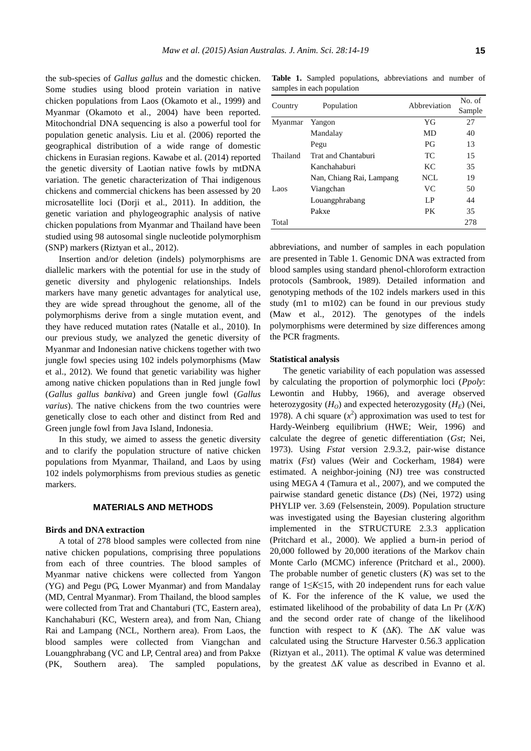the sub-species of *Gallus gallus* and the domestic chicken. Some studies using blood protein variation in native chicken populations from Laos (Okamoto et al., 1999) and Myanmar (Okamoto et al., 2004) have been reported. Mitochondrial DNA sequencing is also a powerful tool for population genetic analysis. Liu et al. (2006) reported the geographical distribution of a wide range of domestic chickens in Eurasian regions. Kawabe et al. (2014) reported the genetic diversity of Laotian native fowls by mtDNA variation. The genetic characterization of Thai indigenous chickens and commercial chickens has been assessed by 20 microsatellite loci (Dorji et al., 2011). In addition, the genetic variation and phylogeographic analysis of native chicken populations from Myanmar and Thailand have been studied using 98 autosomal single nucleotide polymorphism (SNP) markers (Riztyan et al., 2012).

Insertion and/or deletion (indels) polymorphisms are diallelic markers with the potential for use in the study of genetic diversity and phylogenic relationships. Indels markers have many genetic advantages for analytical use, they are wide spread throughout the genome, all of the polymorphisms derive from a single mutation event, and they have reduced mutation rates (Natalle et al., 2010). In our previous study, we analyzed the genetic diversity of Myanmar and Indonesian native chickens together with two jungle fowl species using 102 indels polymorphisms (Maw et al., 2012). We found that genetic variability was higher among native chicken populations than in Red jungle fowl (*Gallus gallus bankiva*) and Green jungle fowl (*Gallus varius*). The native chickens from the two countries were genetically close to each other and distinct from Red and Green jungle fowl from Java Island, Indonesia.

In this study, we aimed to assess the genetic diversity and to clarify the population structure of native chicken populations from Myanmar, Thailand, and Laos by using 102 indels polymorphisms from previous studies as genetic markers.

## **MATERIALS AND METHODS**

#### **Birds and DNA extraction**

A total of 278 blood samples were collected from nine native chicken populations, comprising three populations from each of three countries. The blood samples of Myanmar native chickens were collected from Yangon (YG) and Pegu (PG, Lower Myanmar) and from Mandalay (MD, Central Myanmar). From Thailand, the blood samples were collected from Trat and Chantaburi (TC, Eastern area), Kanchahaburi (KC, Western area), and from Nan, Chiang Rai and Lampang (NCL, Northern area). From Laos, the blood samples were collected from Viangchan and Louangphrabang (VC and LP, Central area) and from Pakxe (PK, Southern area). The sampled populations,

**Table 1.** Sampled populations, abbreviations and number of samples in each population

| Country  |                          | Abbreviation | No. of |  |
|----------|--------------------------|--------------|--------|--|
|          | Population               |              | Sample |  |
| Myanmar  | Yangon                   | YG           | 27     |  |
|          | Mandalay                 | MD           | 40     |  |
|          | Pegu                     | PG           | 13     |  |
| Thailand | Trat and Chantaburi      | TC           | 15     |  |
|          | Kanchahaburi             | KC.          | 35     |  |
|          | Nan, Chiang Rai, Lampang | NCL          | 19     |  |
| Laos     | Viangchan                | VC.          | 50     |  |
|          | Louangphrabang           | LP.          | 44     |  |
|          | Pakxe                    | PK           | 35     |  |
| Total    |                          |              | 278    |  |

abbreviations, and number of samples in each population are presented in Table 1. Genomic DNA was extracted from blood samples using standard phenol-chloroform extraction protocols (Sambrook, 1989). Detailed information and genotyping methods of the 102 indels markers used in this study (m1 to m102) can be found in our previous study (Maw et al., 2012). The genotypes of the indels polymorphisms were determined by size differences among the PCR fragments.

### **Statistical analysis**

The genetic variability of each population was assessed by calculating the proportion of polymorphic loci (*Ppoly*: Lewontin and Hubby, 1966), and average observed heterozygosity  $(H<sub>O</sub>)$  and expected heterozygosity  $(H<sub>E</sub>)$  (Nei, 1978). A chi square  $(x^2)$  approximation was used to test for Hardy-Weinberg equilibrium (HWE; Weir, 1996) and calculate the degree of genetic differentiation (*Gst*; Nei, 1973). Using *Fstat* version 2.9.3.2, pair-wise distance matrix (*Fst*) values (Weir and Cockerham, 1984) were estimated. A neighbor-joining (NJ) tree was constructed using MEGA 4 (Tamura et al., 2007), and we computed the pairwise standard genetic distance (*Ds*) (Nei, 1972) using PHYLIP ver. 3.69 (Felsenstein, 2009). Population structure was investigated using the Bayesian clustering algorithm implemented in the STRUCTURE 2.3.3 application (Pritchard et al., 2000). We applied a burn-in period of 20,000 followed by 20,000 iterations of the Markov chain Monte Carlo (MCMC) inference (Pritchard et al., 2000). The probable number of genetic clusters (*K*) was set to the range of 1≤*K*≤15, with 20 independent runs for each value of K. For the inference of the K value, we used the estimated likelihood of the probability of data Ln Pr (*X/K*) and the second order rate of change of the likelihood function with respect to  $K$  ( $\Delta K$ ). The  $\Delta K$  value was calculated using the Structure Harvester 0.56.3 application (Riztyan et al., 2011). The optimal *K* value was determined by the greatest Δ*K* value as described in Evanno et al.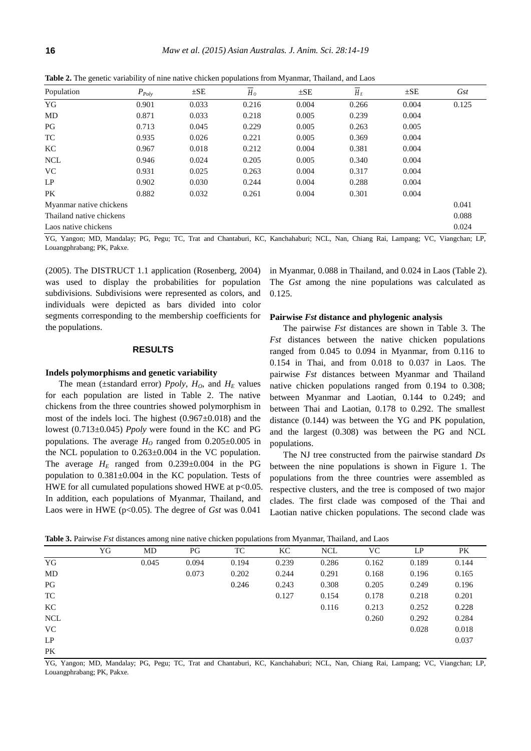|  |  | <b>Table 2.</b> The genetic variability of nine native chicken populations from Myanmar, Thailand, and Laos |  |  |
|--|--|-------------------------------------------------------------------------------------------------------------|--|--|
|--|--|-------------------------------------------------------------------------------------------------------------|--|--|

| Population               | $P_{Poly}$ | $\pm$ SE | $H_0$ | $\pm$ SE | $H_E$ | $\pm$ SE | Gst   |
|--------------------------|------------|----------|-------|----------|-------|----------|-------|
| YG                       | 0.901      | 0.033    | 0.216 | 0.004    | 0.266 | 0.004    | 0.125 |
| MD                       | 0.871      | 0.033    | 0.218 | 0.005    | 0.239 | 0.004    |       |
| PG                       | 0.713      | 0.045    | 0.229 | 0.005    | 0.263 | 0.005    |       |
| TC                       | 0.935      | 0.026    | 0.221 | 0.005    | 0.369 | 0.004    |       |
| KC.                      | 0.967      | 0.018    | 0.212 | 0.004    | 0.381 | 0.004    |       |
| <b>NCL</b>               | 0.946      | 0.024    | 0.205 | 0.005    | 0.340 | 0.004    |       |
| VC.                      | 0.931      | 0.025    | 0.263 | 0.004    | 0.317 | 0.004    |       |
| LP                       | 0.902      | 0.030    | 0.244 | 0.004    | 0.288 | 0.004    |       |
| PK                       | 0.882      | 0.032    | 0.261 | 0.004    | 0.301 | 0.004    |       |
| Myanmar native chickens  |            |          |       |          |       | 0.041    |       |
| Thailand native chickens |            |          |       |          |       | 0.088    |       |
| Laos native chickens     |            |          |       |          |       | 0.024    |       |

YG, Yangon; MD, Mandalay; PG, Pegu; TC, Trat and Chantaburi, KC, Kanchahaburi; NCL, Nan, Chiang Rai, Lampang; VC, Viangchan; LP, Louangphrabang; PK, Pakxe.

(2005). The DISTRUCT 1.1 application (Rosenberg, 2004) was used to display the probabilities for population subdivisions. Subdivisions were represented as colors, and individuals were depicted as bars divided into color segments corresponding to the membership coefficients for the populations.

# **RESULTS**

#### **Indels polymorphisms and genetic variability**

The mean ( $\pm$ standard error) *Ppoly*,  $H_0$ , and  $H_E$  values for each population are listed in Table 2. The native chickens from the three countries showed polymorphism in most of the indels loci. The highest  $(0.967 \pm 0.018)$  and the lowest (0.713±0.045) *Ppoly* were found in the KC and PG populations. The average  $H_0$  ranged from  $0.205 \pm 0.005$  in the NCL population to  $0.263 \pm 0.004$  in the VC population. The average  $H_E$  ranged from 0.239 $\pm$ 0.004 in the PG population to  $0.381 \pm 0.004$  in the KC population. Tests of HWE for all cumulated populations showed HWE at  $p<0.05$ . In addition, each populations of Myanmar, Thailand, and Laos were in HWE (p<0.05). The degree of *Gst* was 0.041

in Myanmar, 0.088 in Thailand, and 0.024 in Laos (Table 2). The *Gst* among the nine populations was calculated as 0.125.

#### **Pairwise** *Fst* **distance and phylogenic analysis**

The pairwise *Fst* distances are shown in Table 3. The *Fst* distances between the native chicken populations ranged from 0.045 to 0.094 in Myanmar, from 0.116 to 0.154 in Thai, and from 0.018 to 0.037 in Laos. The pairwise *Fst* distances between Myanmar and Thailand native chicken populations ranged from 0.194 to 0.308; between Myanmar and Laotian, 0.144 to 0.249; and between Thai and Laotian, 0.178 to 0.292. The smallest distance (0.144) was between the YG and PK population, and the largest (0.308) was between the PG and NCL populations.

The NJ tree constructed from the pairwise standard *Ds* between the nine populations is shown in Figure 1. The populations from the three countries were assembled as respective clusters, and the tree is composed of two major clades. The first clade was composed of the Thai and Laotian native chicken populations. The second clade was

|            | YG | MD    | PG    | TC    | KC    | <b>NCL</b> | VC    | LP    | PK    |
|------------|----|-------|-------|-------|-------|------------|-------|-------|-------|
| YG         |    | 0.045 | 0.094 | 0.194 | 0.239 | 0.286      | 0.162 | 0.189 | 0.144 |
| MD         |    |       | 0.073 | 0.202 | 0.244 | 0.291      | 0.168 | 0.196 | 0.165 |
| PG         |    |       |       | 0.246 | 0.243 | 0.308      | 0.205 | 0.249 | 0.196 |
| TC         |    |       |       |       | 0.127 | 0.154      | 0.178 | 0.218 | 0.201 |
| KC         |    |       |       |       |       | 0.116      | 0.213 | 0.252 | 0.228 |
| <b>NCL</b> |    |       |       |       |       |            | 0.260 | 0.292 | 0.284 |
| <b>VC</b>  |    |       |       |       |       |            |       | 0.028 | 0.018 |
| LP         |    |       |       |       |       |            |       |       | 0.037 |
| PK         |    |       |       |       |       |            |       |       |       |

**Table 3.** Pairwise *Fst* distances among nine native chicken populations from Myanmar, Thailand, and Laos

YG, Yangon; MD, Mandalay; PG, Pegu; TC, Trat and Chantaburi, KC, Kanchahaburi; NCL, Nan, Chiang Rai, Lampang; VC, Viangchan; LP, Louangphrabang; PK, Pakxe.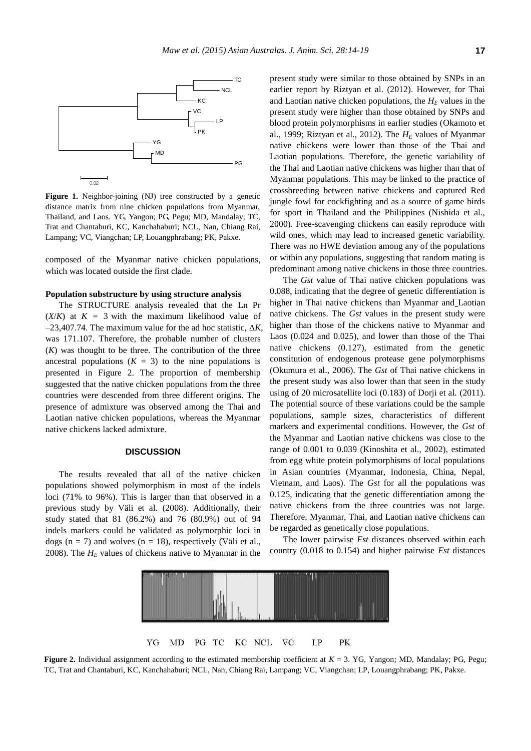

**Figure 1.** Neighbor-joining (NJ) tree constructed by a genetic distance matrix from nine chicken populations from Myanmar, Thailand, and Laos. YG, Yangon; PG, Pegu; MD, Mandalay; TC, Trat and Chantaburi, KC, Kanchahaburi; NCL, Nan, Chiang Rai, Lampang; VC, Viangchan; LP, Louangphrabang; PK, Pakxe.

composed of the Myanmar native chicken populations, which was located outside the first clade.

#### **Population substructure by using structure analysis**

The STRUCTURE analysis revealed that the Ln Pr  $(X/K)$  at  $K = 3$  with the maximum likelihood value of  $-23,407.74$ . The maximum value for the ad hoc statistic,  $\Delta K$ , was 171.107. Therefore, the probable number of clusters (*K*) was thought to be three. The contribution of the three ancestral populations  $(K = 3)$  to the nine populations is presented in Figure 2. The proportion of membership suggested that the native chicken populations from the three countries were descended from three different origins. The presence of admixture was observed among the Thai and Laotian native chicken populations, whereas the Myanmar native chickens lacked admixture.

# **DISCUSSION**

The results revealed that all of the native chicken populations showed polymorphism in most of the indels loci (71% to 96%). This is larger than that observed in a previous study by Väli et al. (2008). Additionally, their study stated that 81 (86.2%) and 76 (80.9%) out of 94 indels markers could be validated as polymorphic loci in dogs ( $n = 7$ ) and wolves ( $n = 18$ ), respectively (Väli et al., 2008). The  $H<sub>E</sub>$  values of chickens native to Myanmar in the present study were similar to those obtained by SNPs in an earlier report by Riztyan et al. (2012). However, for Thai and Laotian native chicken populations, the  $H_E$  values in the present study were higher than those obtained by SNPs and blood protein polymorphisms in earlier studies (Okamoto et al., 1999; Riztyan et al., 2012). The *H<sup>E</sup>* values of Myanmar native chickens were lower than those of the Thai and Laotian populations. Therefore, the genetic variability of the Thai and Laotian native chickens was higher than that of Myanmar populations. This may be linked to the practice of crossbreeding between native chickens and captured Red jungle fowl for cockfighting and as a source of game birds for sport in Thailand and the Philippines (Nishida et al., 2000). Free-scavenging chickens can easily reproduce with wild ones, which may lead to increased genetic variability. There was no HWE deviation among any of the populations or within any populations, suggesting that random mating is predominant among native chickens in those three countries.

The *Gst* value of Thai native chicken populations was 0.088, indicating that the degree of genetic differentiation is higher in Thai native chickens than Myanmar and Laotian native chickens. The *Gst* values in the present study were higher than those of the chickens native to Myanmar and Laos (0.024 and 0.025), and lower than those of the Thai native chickens (0.127), estimated from the genetic constitution of endogenous protease gene polymorphisms (Okumura et al., 2006). The *Gst* of Thai native chickens in the present study was also lower than that seen in the study using of 20 microsatellite loci (0.183) of Dorji et al. (2011). The potential source of these variations could be the sample populations, sample sizes, characteristics of different markers and experimental conditions. However, the *Gst* of the Myanmar and Laotian native chickens was close to the range of 0.001 to 0.039 (Kinoshita et al., 2002), estimated from egg white protein polymorphisms of local populations in Asian countries (Myanmar, Indonesia, China, Nepal, Vietnam, and Laos). The *Gst* for all the populations was 0.125, indicating that the genetic differentiation among the native chickens from the three countries was not large. Therefore, Myanmar, Thai, and Laotian native chickens can be regarded as genetically close populations.

The lower pairwise *Fst* distances observed within each country (0.018 to 0.154) and higher pairwise *Fst* distances



**Figure 2.** Individual assignment according to the estimated membership coefficient at  $K = 3$ . YG, Yangon; MD, Mandalay; PG, Pegu; TC, Trat and Chantaburi, KC, Kanchahaburi; NCL, Nan, Chiang Rai, Lampang; VC, Viangchan; LP, Louangphrabang; PK, Pakxe.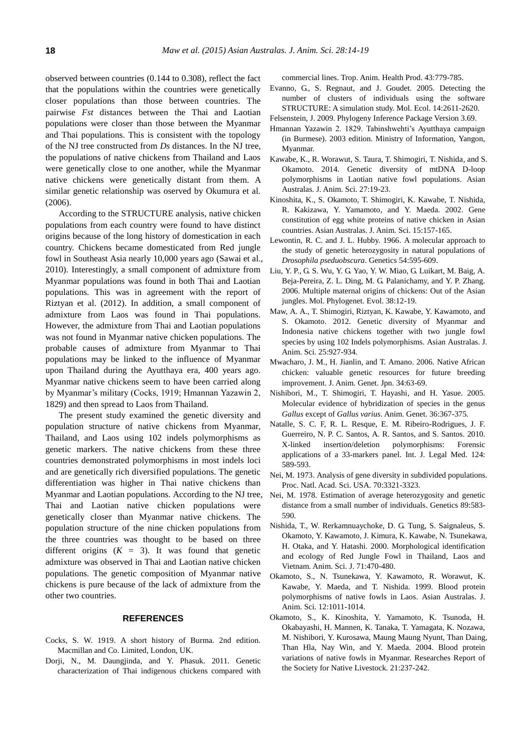observed between countries (0.144 to 0.308), reflect the fact that the populations within the countries were genetically closer populations than those between countries. The pairwise *Fst* distances between the Thai and Laotian populations were closer than those between the Myanmar and Thai populations. This is consistent with the topology of the NJ tree constructed from *Ds* distances. In the NJ tree, the populations of native chickens from Thailand and Laos were genetically close to one another, while the Myanmar native chickens were genetically distant from them. A similar genetic relationship was oserved by Okumura et al. (2006).

According to the STRUCTURE analysis, native chicken populations from each country were found to have distinct origins because of the long history of domestication in each country. Chickens became domesticated from Red jungle fowl in Southeast Asia nearly 10,000 years ago (Sawai et al., 2010). Interestingly, a small component of admixture from Myanmar populations was found in both Thai and Laotian populations. This was in agreement with the report of Riztyan et al. (2012). In addition, a small component of admixture from Laos was found in Thai populations. However, the admixture from Thai and Laotian populations was not found in Myanmar native chicken populations. The probable causes of admixture from Myanmar to Thai populations may be linked to the influence of Myanmar upon Thailand during the Ayutthaya era, 400 years ago. Myanmar native chickens seem to have been carried along by Myanmar's military (Cocks, 1919; Hmannan Yazawin 2, 1829) and then spread to Laos from Thailand.

The present study examined the genetic diversity and population structure of native chickens from Myanmar, Thailand, and Laos using 102 indels polymorphisms as genetic markers. The native chickens from these three countries demonstrated polymorphisms in most indels loci and are genetically rich diversified populations. The genetic differentiation was higher in Thai native chickens than Myanmar and Laotian populations. According to the NJ tree, Thai and Laotian native chicken populations were genetically closer than Myanmar native chickens. The population structure of the nine chicken populations from the three countries was thought to be based on three different origins  $(K = 3)$ . It was found that genetic admixture was observed in Thai and Laotian native chicken populations. The genetic composition of Myanmar native chickens is pure because of the lack of admixture from the other two countries.

## **REFERENCES**

- Cocks, S. W. 1919. A short history of Burma. 2nd edition. Macmillan and Co. Limited, London, UK.
- Dorji, N., M. Daungjinda, and Y. Phasuk. 2011. [Genetic](http://link.springer.com/article/10.1007/s11250-010-9763-3)  [characterization of Thai indigenous chickens compared with](http://link.springer.com/article/10.1007/s11250-010-9763-3)

[commercial lines.](http://link.springer.com/article/10.1007/s11250-010-9763-3) Trop. Anim. Health Prod. 43:779-785.

- Evanno, G., S. Regnaut, and J. Goudet. 2005. [Detecting the](http://onlinelibrary.wiley.com/doi/10.1111/j.1365-294X.2005.02553.x/abstract?deniedAccessCustomisedMessage=&userIsAuthenticated=false)  [number of clusters of individuals using the software](http://onlinelibrary.wiley.com/doi/10.1111/j.1365-294X.2005.02553.x/abstract?deniedAccessCustomisedMessage=&userIsAuthenticated=false)  [STRUCTURE: A](http://onlinelibrary.wiley.com/doi/10.1111/j.1365-294X.2005.02553.x/abstract?deniedAccessCustomisedMessage=&userIsAuthenticated=false) simulation study. Mol. Ecol. 14:2611-2620.
- Felsenstein, J. 2009. Phylogeny Inference Package Version 3.69.
- Hmannan Yazawin 2. 1829. Tabinshwehti's Ayutthaya campaign (in Burmese). 2003 edition. Ministry of Information, Yangon, Myanmar.
- Kawabe, K., R. Worawut, S. Taura, T. Shimogiri, T. Nishida, and S. Okamoto. 2014. [Genetic diversity of mtDNA D-loop](http://ajas.info/journal/view.php?number=4786)  [polymorphisms in Laotian native fowl populations.](http://ajas.info/journal/view.php?number=4786) Asian Australas. J. Anim. Sci. 27:19-23.
- Kinoshita, K., S. Okamoto, T. Shimogiri, K. Kawabe, T. Nishida, R. Kakizawa, Y. Yamamoto, and Y. Maeda. 2002. [Gene](http://www.ajas.info/journal/view.php?number=20086)  [constitution of egg white proteins of native chicken in Asian](http://www.ajas.info/journal/view.php?number=20086)  [countries.](http://www.ajas.info/journal/view.php?number=20086) Asian Australas. J. Anim. Sci. 15:157-165.
- Lewontin, R. C. and J. L. Hubby. 1966. [A molecular approach to](http://www.ncbi.nlm.nih.gov/pmc/articles/PMC1211186/)  [the study of genetic heterozygosity in natural populations of](http://www.ncbi.nlm.nih.gov/pmc/articles/PMC1211186/)  *[Drosophila pseduobscura](http://www.ncbi.nlm.nih.gov/pmc/articles/PMC1211186/)*. Genetics 54:595-609.
- Liu, Y. P., G. S. Wu, Y. G. Yao, Y. W. Miao, G. Luikart, M. Baig, A. Beja-Pereira, Z. L. Ding, M. G. Palanichamy, and Y. P. Zhang. 2006. [Multiple maternal origins of chickens: Out of the Asian](http://www.sciencedirect.com/science/article/pii/S1055790305002988) [jungles.](http://www.sciencedirect.com/science/article/pii/S1055790305002988) Mol. Phylogenet. Evol. 38:12-19.
- Maw, A. A., T. Shimogiri, Riztyan, K. Kawabe, Y. Kawamoto, and S. Okamoto. 2012. [Genetic diversity of Myanmar and](http://ajas.info/journal/view.php?number=22764)  [Indonesia native chickens together with two jungle fowl](http://ajas.info/journal/view.php?number=22764)  [species by using 102 Indels polymorphisms.](http://ajas.info/journal/view.php?number=22764) Asian Australas. J. Anim. Sci. 25:927-934.
- Mwacharo, J. M., H. Jianlin, and T. Amano. 2006. [Native African](http://dspacetest.cgiar.org/handle/10568/1391)  [chicken: valuable genetic resources for future breeding](http://dspacetest.cgiar.org/handle/10568/1391)  [improvement.](http://dspacetest.cgiar.org/handle/10568/1391) J. Anim. Genet. Jpn. 34:63-69.
- Nishibori, M., T. Shimogiri, T. Hayashi, and H. Yasue. 2005. [Molecular evidence of hybridization of species in the genus](http://onlinelibrary.wiley.com/doi/10.1111/j.1365-2052.2005.01318.x/abstract?deniedAccessCustomisedMessage=&userIsAuthenticated=falseF)  *Gallus* except of *[Gallus varius](http://onlinelibrary.wiley.com/doi/10.1111/j.1365-2052.2005.01318.x/abstract?deniedAccessCustomisedMessage=&userIsAuthenticated=falseF)*. Anim. Genet. 36:367-375.
- Natalle, S. C. F, R. L. Resque, E. M. Ribeiro-Rodrigues, J. F. Guerreiro, N. P. C. Santos, A. R. Santos, and S. Santos. 2010. [X-linked insertion/deletion polymorphisms: Forensic](http://link.springer.com/article/10.1007/s00414-010-0441-9)  [applications of a 33-markers panel.](http://link.springer.com/article/10.1007/s00414-010-0441-9) Int. J. Legal Med. 124: 589-593.
- Nei, M. 1973. [Analysis of gene diversity in subdivided populations.](http://www.pnas.org/content/70/12/3321.short)  Proc. Natl. Acad. Sci. USA. 70:3321-3323.
- Nei, M. 1978. [Estimation of average heterozygosity and genetic](http://www.genetics.org/content/89/3/583.short)  [distance from a small number of individuals.](http://www.genetics.org/content/89/3/583.short) Genetics 89:583- 590.
- Nishida, T., W. Rerkamnuaychoke, D. G. Tung, S. Saignaleus, S. Okamoto, Y. Kawamoto, J. Kimura, K. Kawabe, N. Tsunekawa, H. Otaka, and Y. Hatashi. 2000. Morphological identification and ecology of Red Jungle Fowl in Thailand, Laos and Vietnam. Anim. Sci. J. 71:470-480.
- Okamoto, S., N. Tsunekawa, Y. Kawamoto, R. Worawut, K. Kawabe, Y. Maeda, and T. Nishida. 1999. [Blood protein](http://ajas.info/journal/view.php?number=19494)  [polymorphisms of native fowls in Laos.](http://ajas.info/journal/view.php?number=19494) Asian Australas. J. Anim. Sci. 12:1011-1014.
- Okamoto, S., K. Kinoshita, Y. Yamamoto, K. Tsunoda, H. Okabayashi, H. Mannen, K. Tanaka, T. Yamagata, K. Nozawa, M. Nishibori, Y. Kurosawa, Maung Maung Nyunt, Than Daing, Than Hla, Nay Win, and Y. Maeda. 2004. Blood protein variations of native fowls in Myanmar. Researches Report of the Society for Native Livestock. 21:237-242.